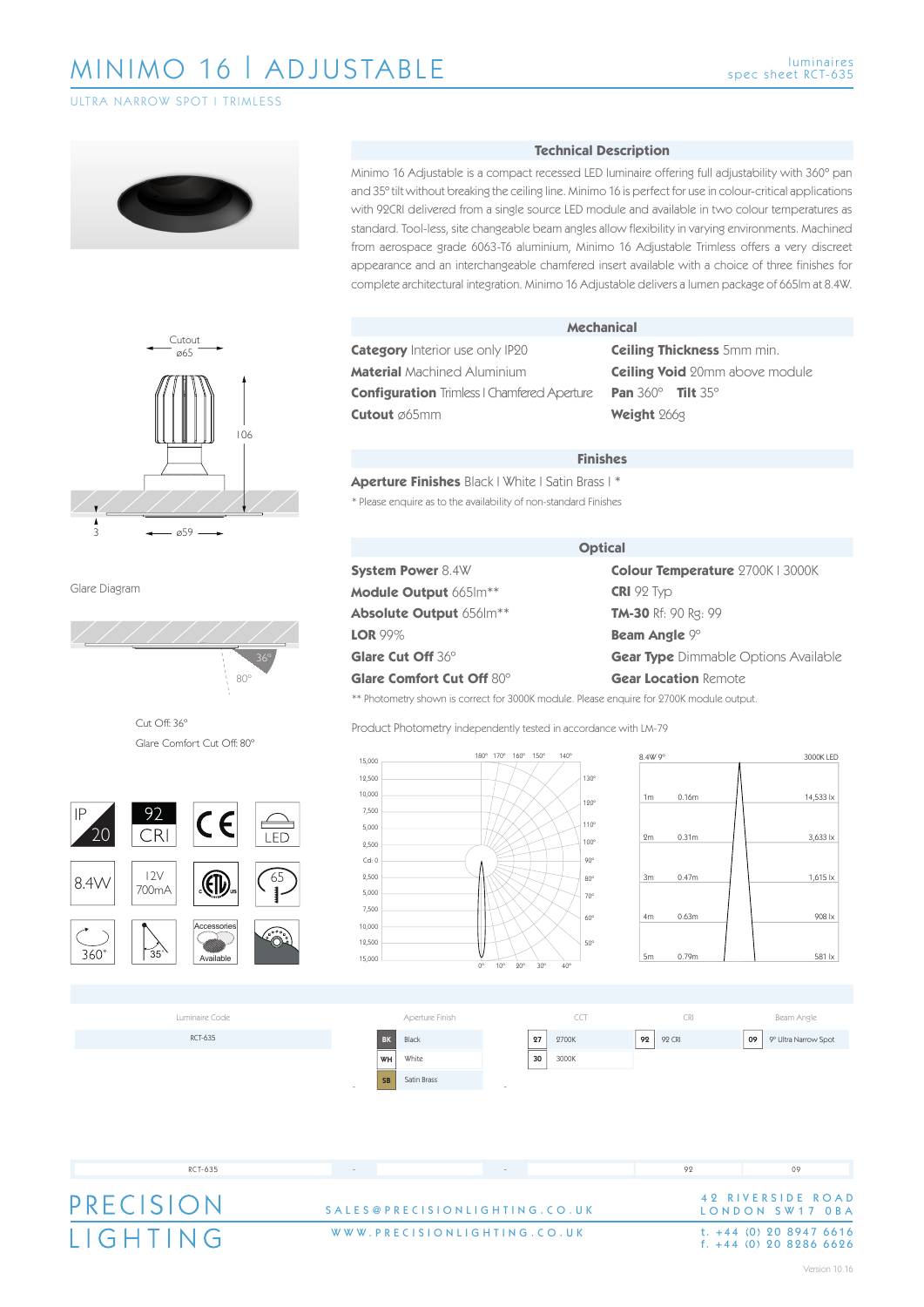ULTRA NARROW SPOT | TRIMLESS





Glare Diagram



Cut Off: 36º Glare Comfort Cut Off: 80º



### **Technical Description**

Minimo 16 Adjustable is a compact recessed LED luminaire offering full adjustability with 360º pan and 35º tilt without breaking the ceiling line. Minimo 16 is perfect for use in colour-critical applications with 92CRI delivered from a single source LED module and available in two colour temperatures as standard. Tool-less, site changeable beam angles allow flexibility in varying environments. Machined from aerospace grade 6063-T6 aluminium, Minimo 16 Adjustable Trimless offers a very discreet appearance and an interchangeable chamfered insert available with a choice of three finishes for complete architectural integration. Minimo 16 Adjustable delivers a lumen package of 665lm at 8.4W.

**Category** Interior use only IP20 **Material** Machined Aluminium **Configuration** Trimless | Chamfered Aperture **Cutout** ø65mm

#### **Mechanical**

**Ceiling Thickness** 5mm min. **Ceiling Void** 20mm above module **Pan** 360º **Tilt** 35º **Weight** 266g

#### **Finishes**

**Aperture Finishes** Black | White | Satin Brass | \* \* Please enquire as to the availability of non-standard Finishes

**System Power** 8.4W **Module Output** 665lm\*\* **Absolute Output** 656lm\*\* **LOR** 99% **Glare Cut Off** 36º **Glare Comfort Cut Off** 80º

#### **Optical**

**Colour Temperature** 2700K | 3000K **CRI** 92 Typ **TM-30** Rf: 90 Rg: 99 **Beam Angle** 9º **Gear Type** Dimmable Options Available **Gear Location** Remote

\*\* Photometry shown is correct for 3000K module. Please enquire for 2700K module output.







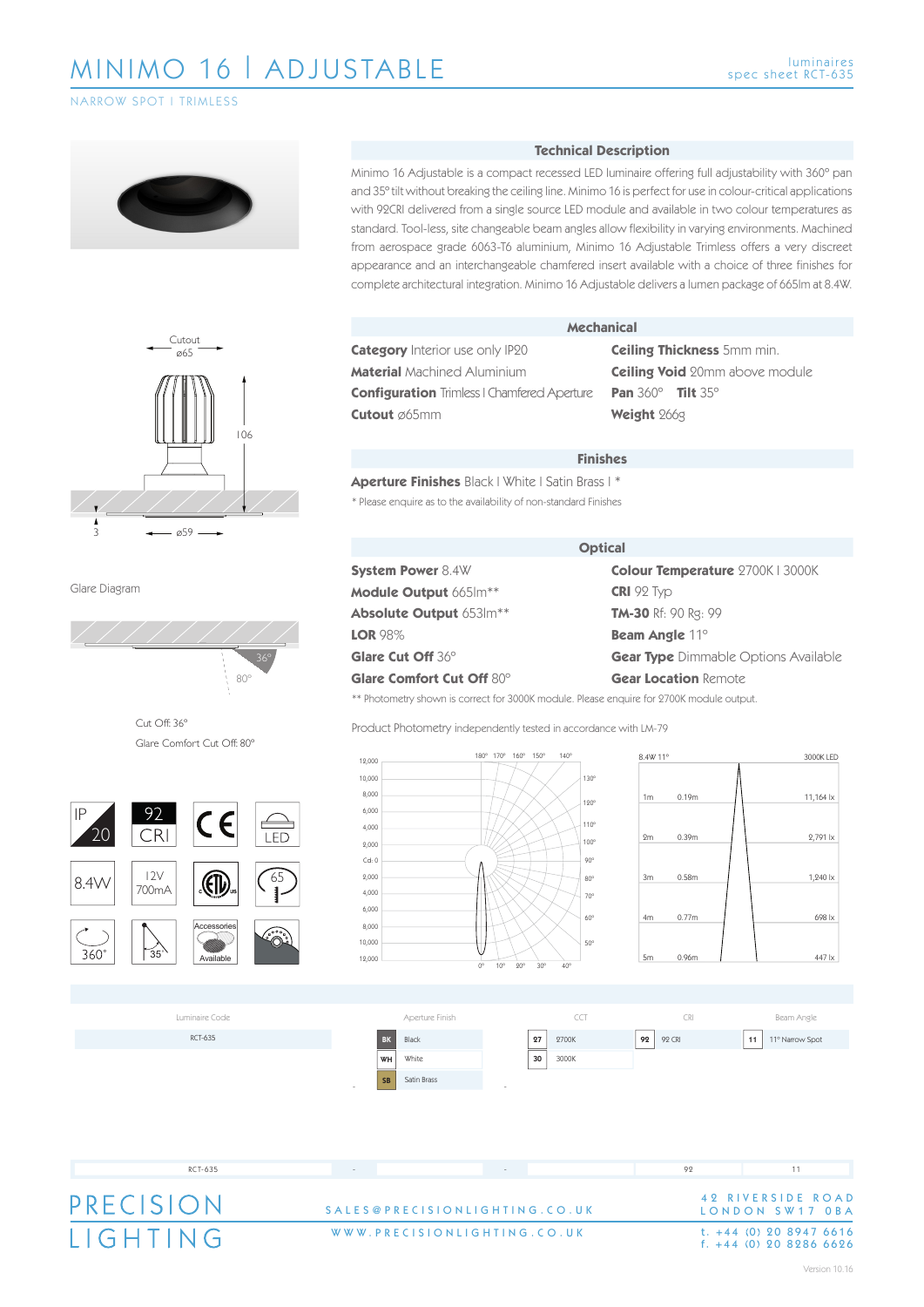## NARROW SPOT | TRIMLESS





Glare Diagram



Cut Off: 36º Glare Comfort Cut Off: 80º



### **Technical Description**

Minimo 16 Adjustable is a compact recessed LED luminaire offering full adjustability with 360º pan and 35º tilt without breaking the ceiling line. Minimo 16 is perfect for use in colour-critical applications with 92CRI delivered from a single source LED module and available in two colour temperatures as standard. Tool-less, site changeable beam angles allow flexibility in varying environments. Machined from aerospace grade 6063-T6 aluminium, Minimo 16 Adjustable Trimless offers a very discreet appearance and an interchangeable chamfered insert available with a choice of three finishes for complete architectural integration. Minimo 16 Adjustable delivers a lumen package of 665lm at 8.4W.

**Category** Interior use only IP20 **Material** Machined Aluminium **Configuration** Trimless | Chamfered Aperture **Cutout** ø65mm

#### **Mechanical**

**Ceiling Thickness** 5mm min. **Ceiling Void** 20mm above module **Pan** 360º **Tilt** 35º **Weight** 266g

#### **Finishes**

**Aperture Finishes** Black | White | Satin Brass | \* \* Please enquire as to the availability of non-standard Finishes

# **System Power** 8.4W **Module Output** 665lm\*\* **Absolute Output** 653lm\*\* **LOR** 98% **Glare Cut Off** 36º **Glare Comfort Cut Off** 80º

#### **Optical**

**Colour Temperature** 2700K | 3000K **CRI** 92 Typ **TM-30** Rf: 90 Rg: 99 **Beam Angle** 11º **Gear Type** Dimmable Options Available **Gear Location** Remote

\*\* Photometry shown is correct for 3000K module. Please enquire for 2700K module output.







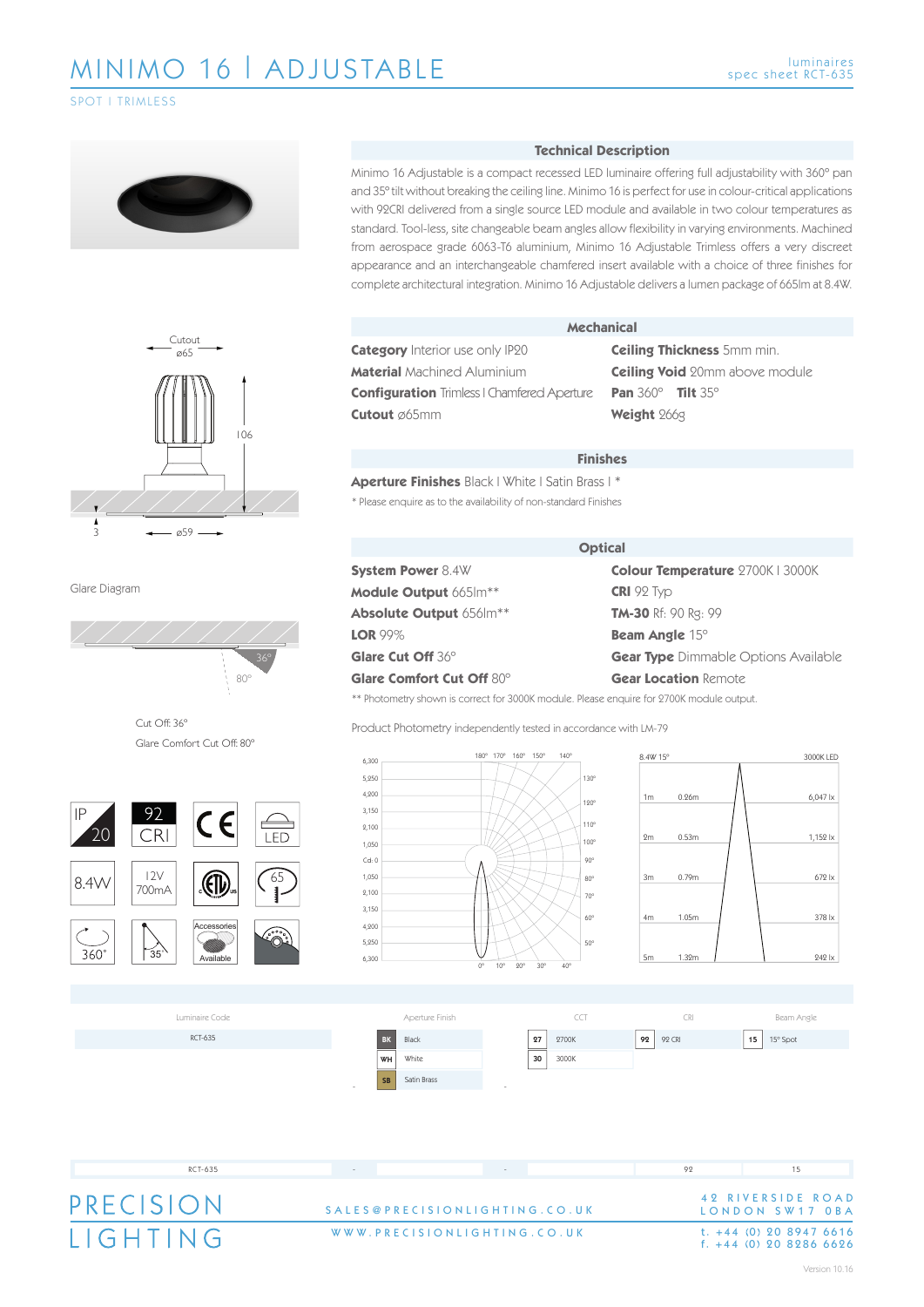SPOT | TRIMLESS





Glare Diagram



Cut Off: 36º Glare Comfort Cut Off: 80º



### **Technical Description**

Minimo 16 Adjustable is a compact recessed LED luminaire offering full adjustability with 360º pan and 35º tilt without breaking the ceiling line. Minimo 16 is perfect for use in colour-critical applications with 92CRI delivered from a single source LED module and available in two colour temperatures as standard. Tool-less, site changeable beam angles allow flexibility in varying environments. Machined from aerospace grade 6063-T6 aluminium, Minimo 16 Adjustable Trimless offers a very discreet appearance and an interchangeable chamfered insert available with a choice of three finishes for complete architectural integration. Minimo 16 Adjustable delivers a lumen package of 665lm at 8.4W.

**Category** Interior use only IP20 **Material** Machined Aluminium **Configuration** Trimless | Chamfered Aperture **Cutout** ø65mm

#### **Mechanical**

**Ceiling Thickness** 5mm min. **Ceiling Void** 20mm above module **Pan** 360º **Tilt** 35º **Weight** 266g

#### **Finishes**

**Aperture Finishes** Black | White | Satin Brass | \* \* Please enquire as to the availability of non-standard Finishes

**System Power** 8.4W **Module Output** 665lm\*\* **Absolute Output** 656lm\*\* **LOR** 99% **Glare Cut Off** 36º **Glare Comfort Cut Off** 80º

#### **Optical**

**Colour Temperature** 2700K | 3000K **CRI** 92 Typ **TM-30** Rf: 90 Rg: 99 **Beam Angle** 15º **Gear Type** Dimmable Options Available **Gear Location** Remote

\*\* Photometry shown is correct for 3000K module. Please enquire for 2700K module output.







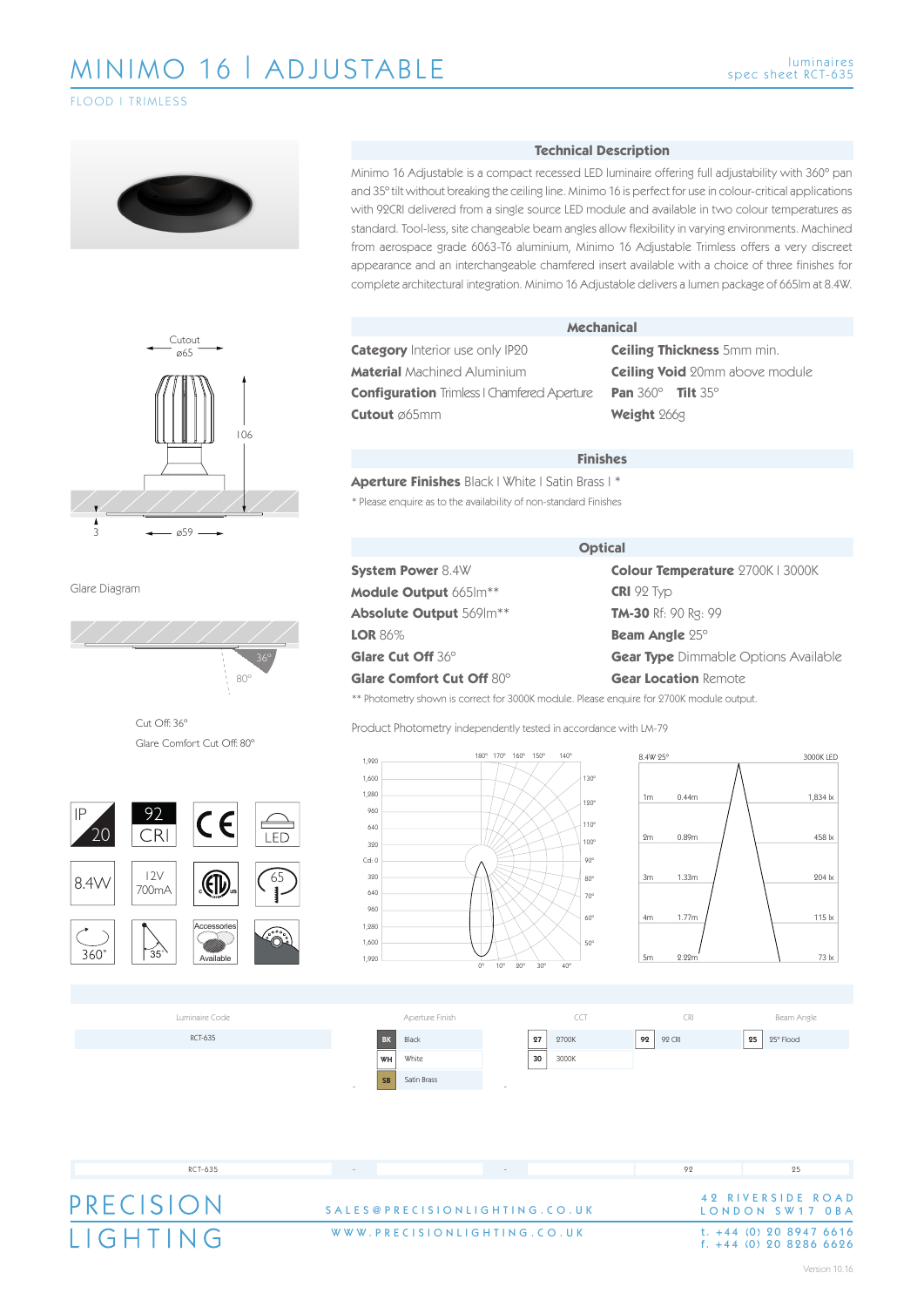FLOOD | TRIMLESS





Glare Diagram



Cut Off: 36º Glare Comfort Cut Off: 80º



### **Technical Description**

Minimo 16 Adjustable is a compact recessed LED luminaire offering full adjustability with 360º pan and 35º tilt without breaking the ceiling line. Minimo 16 is perfect for use in colour-critical applications with 92CRI delivered from a single source LED module and available in two colour temperatures as standard. Tool-less, site changeable beam angles allow flexibility in varying environments. Machined from aerospace grade 6063-T6 aluminium, Minimo 16 Adjustable Trimless offers a very discreet appearance and an interchangeable chamfered insert available with a choice of three finishes for complete architectural integration. Minimo 16 Adjustable delivers a lumen package of 665lm at 8.4W.

**Category** Interior use only IP20 **Material** Machined Aluminium **Configuration** Trimless | Chamfered Aperture **Cutout** ø65mm

#### **Mechanical**

**Ceiling Thickness** 5mm min. **Ceiling Void** 20mm above module **Pan** 360º **Tilt** 35º **Weight** 266g

#### **Finishes**

**Aperture Finishes** Black | White | Satin Brass | \* \* Please enquire as to the availability of non-standard Finishes

**System Power** 8.4W **Module Output** 665lm\*\* **Absolute Output** 569lm\*\* **LOR** 86% **Glare Cut Off** 36º **Glare Comfort Cut Off** 80º

#### **Optical**

**Colour Temperature** 2700K | 3000K **CRI** 92 Typ **TM-30** Rf: 90 Rg: 99 **Beam Angle** 25º **Gear Type** Dimmable Options Available **Gear Location** Remote

\*\* Photometry shown is correct for 3000K module. Please enquire for 2700K module output.